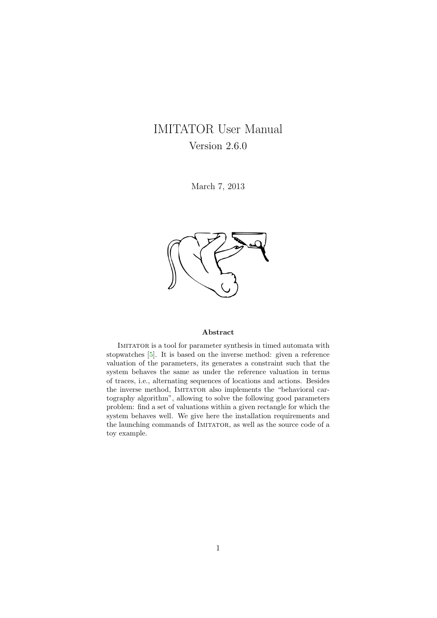# <span id="page-0-0"></span>IMITATOR User Manual Version 2.6.0

March 7, 2013



#### Abstract

Imitator is a tool for parameter synthesis in timed automata with stopwatches [\[5\]](#page-18-0). It is based on the inverse method: given a reference valuation of the parameters, its generates a constraint such that the system behaves the same as under the reference valuation in terms of traces, i.e., alternating sequences of locations and actions. Besides the inverse method, IMITATOR also implements the "behavioral cartography algorithm", allowing to solve the following good parameters problem: find a set of valuations within a given rectangle for which the system behaves well. We give here the installation requirements and the launching commands of IMITATOR, as well as the source code of a toy example.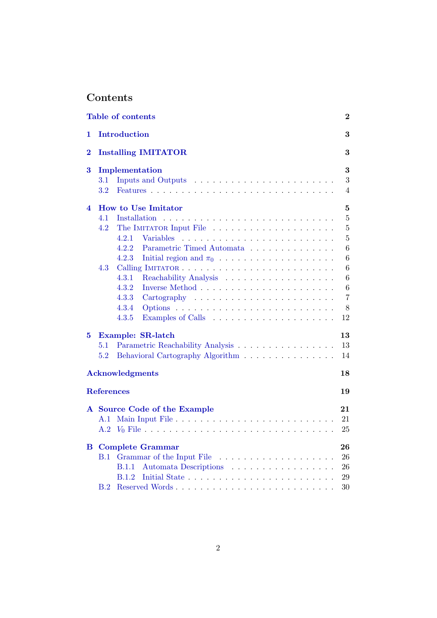# <span id="page-1-0"></span>Contents

|          | <b>Table of contents</b>                                                           |  | $\boldsymbol{2}$ |  |  |  |  |
|----------|------------------------------------------------------------------------------------|--|------------------|--|--|--|--|
| 1        | <b>Introduction</b>                                                                |  | 3                |  |  |  |  |
| $\bf{2}$ | <b>Installing IMITATOR</b>                                                         |  |                  |  |  |  |  |
| 3        | Implementation                                                                     |  |                  |  |  |  |  |
|          | $3.1\,$<br>3.2                                                                     |  | 3<br>4           |  |  |  |  |
| 4        | <b>How to Use Imitator</b>                                                         |  | $\mathbf{5}$     |  |  |  |  |
|          | 4.1                                                                                |  | $\overline{5}$   |  |  |  |  |
|          | 4.2                                                                                |  | $\overline{5}$   |  |  |  |  |
|          | 4.2.1<br>Variables                                                                 |  | $\overline{5}$   |  |  |  |  |
|          | Parametric Timed Automata<br>4.2.2                                                 |  | $\,6$            |  |  |  |  |
|          | 4.2.3<br>Initial region and $\pi_0$                                                |  | 6                |  |  |  |  |
|          | 4.3                                                                                |  | $6\phantom{.}6$  |  |  |  |  |
|          | 4.3.1                                                                              |  | $6\phantom{.}6$  |  |  |  |  |
|          | 4.3.2                                                                              |  | $\boldsymbol{6}$ |  |  |  |  |
|          | 4.3.3<br>$Cartography \dots \dots \dots \dots \dots \dots \dots \dots \dots \dots$ |  | $\overline{7}$   |  |  |  |  |
|          | 4.3.4                                                                              |  | 8                |  |  |  |  |
|          | 4.3.5                                                                              |  | 12               |  |  |  |  |
| 5        | Example: SR-latch                                                                  |  | 13               |  |  |  |  |
|          | Parametric Reachability Analysis<br>5.1                                            |  | 13               |  |  |  |  |
|          | 5.2<br>Behavioral Cartography Algorithm                                            |  | 14               |  |  |  |  |
|          | <b>Acknowledgments</b>                                                             |  | 18               |  |  |  |  |
|          | <b>References</b>                                                                  |  | 19               |  |  |  |  |
|          | A Source Code of the Example                                                       |  | 21               |  |  |  |  |
|          | A.1                                                                                |  | 21               |  |  |  |  |
|          |                                                                                    |  | 25               |  |  |  |  |
| $\bf{B}$ | <b>Complete Grammar</b>                                                            |  | 26               |  |  |  |  |
|          | B.1<br>Grammar of the Input File                                                   |  | 26               |  |  |  |  |
|          | Automata Descriptions<br><b>B.1.1</b>                                              |  | 26               |  |  |  |  |
|          | B.1.2                                                                              |  | 29               |  |  |  |  |
|          | B.2                                                                                |  | 30               |  |  |  |  |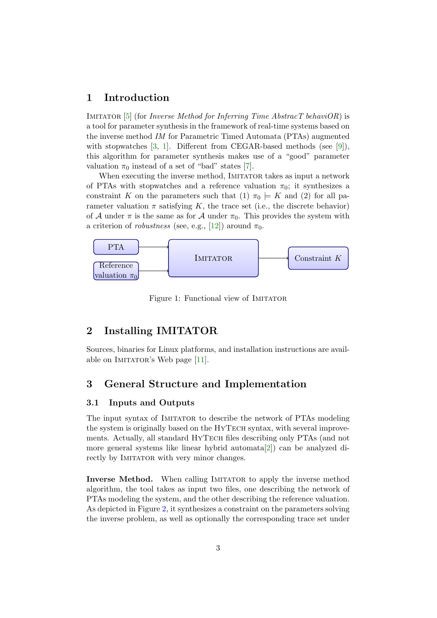# <span id="page-2-4"></span><span id="page-2-0"></span>1 Introduction

IMITATOR [\[5\]](#page-18-0) (for *Inverse Method for Inferring Time AbstracT behaviOR*) is a tool for parameter synthesis in the framework of real-time systems based on the inverse method IM for Parametric Timed Automata (PTAs) augmented with stopwatches [\[3,](#page-18-1) [1\]](#page-18-2). Different from CEGAR-based methods (see [\[9\]](#page-19-0)), this algorithm for parameter synthesis makes use of a "good" parameter valuation  $\pi_0$  instead of a set of "bad" states [\[7\]](#page-18-3).

When executing the inverse method, IMITATOR takes as input a network of PTAs with stopwatches and a reference valuation  $\pi_0$ ; it synthesizes a constraint K on the parameters such that (1)  $\pi_0 \models K$  and (2) for all parameter valuation  $\pi$  satisfying K, the trace set (i.e., the discrete behavior) of A under  $\pi$  is the same as for A under  $\pi_0$ . This provides the system with a criterion of *robustness* (see, e.g., [\[12\]](#page-19-1)) around  $\pi_0$ .



Figure 1: Functional view of IMITATOR

# <span id="page-2-1"></span>2 Installing IMITATOR

Sources, binaries for Linux platforms, and installation instructions are avail-able on IMITATOR's Web page [\[11\]](#page-19-2).

# <span id="page-2-2"></span>3 General Structure and Implementation

### <span id="page-2-3"></span>3.1 Inputs and Outputs

The input syntax of IMITATOR to describe the network of PTAs modeling the system is originally based on the HYTECH syntax, with several improvements. Actually, all standard HYTECH files describing only PTAs (and not more general systems like linear hybrid automata[\[2\]](#page-18-4)) can be analyzed directly by IMITATOR with very minor changes.

**Inverse Method.** When calling IMITATOR to apply the inverse method algorithm, the tool takes as input two files, one describing the network of PTAs modeling the system, and the other describing the reference valuation. As depicted in Figure [2,](#page-3-1) it synthesizes a constraint on the parameters solving the inverse problem, as well as optionally the corresponding trace set under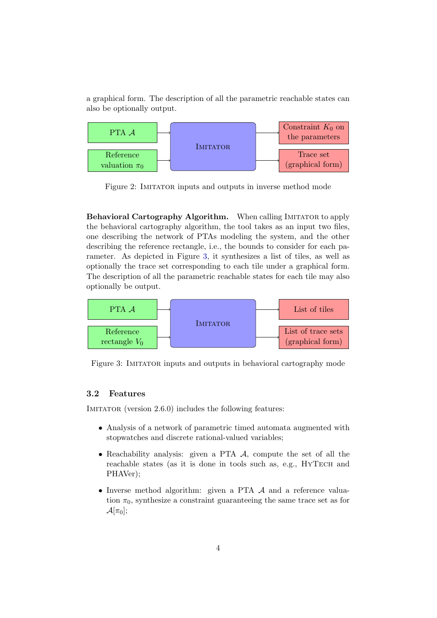a graphical form. The description of all the parametric reachable states can also be optionally output.



<span id="page-3-1"></span>Figure 2: IMITATOR inputs and outputs in inverse method mode

Behavioral Cartography Algorithm. When calling IMITATOR to apply the behavioral cartography algorithm, the tool takes as an input two files, one describing the network of PTAs modeling the system, and the other describing the reference rectangle, i.e., the bounds to consider for each parameter. As depicted in Figure [3,](#page-3-2) it synthesizes a list of tiles, as well as optionally the trace set corresponding to each tile under a graphical form. The description of all the parametric reachable states for each tile may also optionally be output.



<span id="page-3-2"></span>Figure 3: IMITATOR inputs and outputs in behavioral cartography mode

#### <span id="page-3-0"></span>3.2 Features

IMITATOR (version 2.6.0) includes the following features:

- Analysis of a network of parametric timed automata augmented with stopwatches and discrete rational-valued variables;
- Reachability analysis: given a PTA  $\mathcal{A}$ , compute the set of all the reachable states (as it is done in tools such as, e.g., HYTECH and PHAVer);
- Inverse method algorithm: given a PTA A and a reference valuation  $\pi_0$ , synthesize a constraint guaranteeing the same trace set as for  $\mathcal{A}[\pi_0];$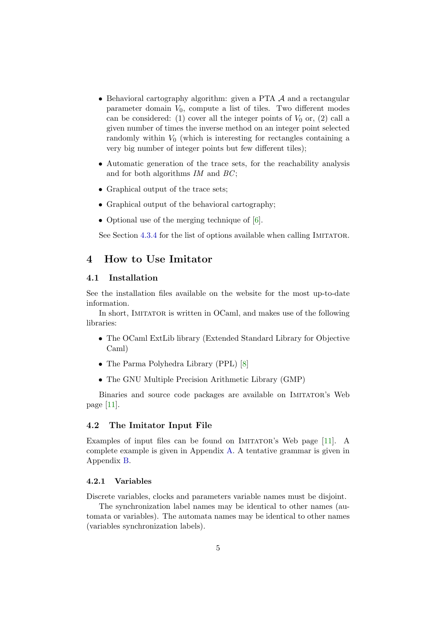- <span id="page-4-4"></span>• Behavioral cartography algorithm: given a PTA A and a rectangular parameter domain  $V_0$ , compute a list of tiles. Two different modes can be considered: (1) cover all the integer points of  $V_0$  or, (2) call a given number of times the inverse method on an integer point selected randomly within  $V_0$  (which is interesting for rectangles containing a very big number of integer points but few different tiles);
- Automatic generation of the trace sets, for the reachability analysis and for both algorithms  $IM$  and  $BC$ ;
- Graphical output of the trace sets;
- Graphical output of the behavioral cartography;
- Optional use of the merging technique of [\[6\]](#page-18-5).

See Section [4.3.4](#page-7-0) for the list of options available when calling IMITATOR.

### <span id="page-4-0"></span>4 How to Use Imitator

### <span id="page-4-1"></span>4.1 Installation

See the installation files available on the website for the most up-to-date information.

In short, IMITATOR is written in OCaml, and makes use of the following libraries:

- The OCaml ExtLib library (Extended Standard Library for Objective Caml)
- The Parma Polyhedra Library (PPL) [\[8\]](#page-18-6)
- The GNU Multiple Precision Arithmetic Library (GMP)

Binaries and source code packages are available on IMITATOR's Web page [\[11\]](#page-19-2).

#### <span id="page-4-2"></span>4.2 The Imitator Input File

Examples of input files can be found on IMITATOR's Web page [\[11\]](#page-19-2). A complete example is given in Appendix [A.](#page-20-0) A tentative grammar is given in Appendix [B.](#page-25-0)

#### <span id="page-4-3"></span>4.2.1 Variables

Discrete variables, clocks and parameters variable names must be disjoint.

The synchronization label names may be identical to other names (automata or variables). The automata names may be identical to other names (variables synchronization labels).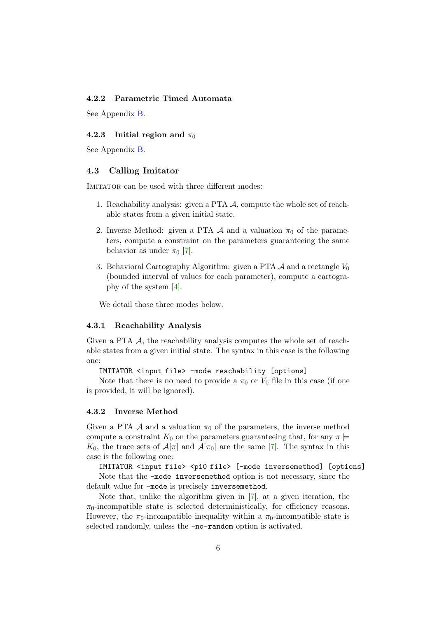#### <span id="page-5-5"></span><span id="page-5-0"></span>4.2.2 Parametric Timed Automata

See Appendix [B.](#page-25-0)

#### <span id="page-5-1"></span>4.2.3 Initial region and  $\pi_0$

See Appendix [B.](#page-25-0)

#### <span id="page-5-2"></span>4.3 Calling Imitator

IMITATOR can be used with three different modes:

- 1. Reachability analysis: given a PTA A, compute the whole set of reachable states from a given initial state.
- 2. Inverse Method: given a PTA A and a valuation  $\pi_0$  of the parameters, compute a constraint on the parameters guaranteeing the same behavior as under  $\pi_0$  [\[7\]](#page-18-3).
- 3. Behavioral Cartography Algorithm: given a PTA  $\mathcal A$  and a rectangle  $V_0$ (bounded interval of values for each parameter), compute a cartography of the system [\[4\]](#page-18-7).

We detail those three modes below.

#### <span id="page-5-3"></span>4.3.1 Reachability Analysis

Given a PTA  $\mathcal{A}$ , the reachability analysis computes the whole set of reachable states from a given initial state. The syntax in this case is the following one:

IMITATOR <input file> -mode reachability [options]

Note that there is no need to provide a  $\pi_0$  or  $V_0$  file in this case (if one is provided, it will be ignored).

#### <span id="page-5-4"></span>4.3.2 Inverse Method

Given a PTA A and a valuation  $\pi_0$  of the parameters, the inverse method compute a constraint  $K_0$  on the parameters guaranteeing that, for any  $\pi \models$ K<sub>0</sub>, the trace sets of  $\mathcal{A}[\pi]$  and  $\mathcal{A}[\pi_0]$  are the same [\[7\]](#page-18-3). The syntax in this case is the following one:

IMITATOR <input\_file> <pi0\_file> [-mode inversemethod] [options]

Note that the -mode inversemethod option is not necessary, since the default value for -mode is precisely inversemethod.

Note that, unlike the algorithm given in [\[7\]](#page-18-3), at a given iteration, the  $\pi_0$ -incompatible state is selected deterministically, for efficiency reasons. However, the  $\pi_0$ -incompatible inequality within a  $\pi_0$ -incompatible state is selected randomly, unless the -no-random option is activated.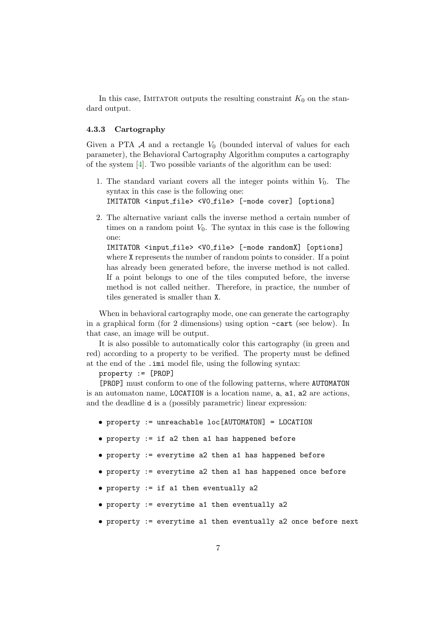<span id="page-6-1"></span>In this case, IMITATOR outputs the resulting constraint  $K_0$  on the standard output.

#### <span id="page-6-0"></span>4.3.3 Cartography

Given a PTA  $\mathcal A$  and a rectangle  $V_0$  (bounded interval of values for each parameter), the Behavioral Cartography Algorithm computes a cartography of the system [\[4\]](#page-18-7). Two possible variants of the algorithm can be used:

- 1. The standard variant covers all the integer points within  $V_0$ . The syntax in this case is the following one: IMITATOR <input file> <V0 file> [-mode cover] [options]
- 2. The alternative variant calls the inverse method a certain number of times on a random point  $V_0$ . The syntax in this case is the following one:

IMITATOR <input file> <V0 file> [-mode randomX] [options] where X represents the number of random points to consider. If a point has already been generated before, the inverse method is not called. If a point belongs to one of the tiles computed before, the inverse method is not called neither. Therefore, in practice, the number of tiles generated is smaller than X.

When in behavioral cartography mode, one can generate the cartography in a graphical form (for 2 dimensions) using option -cart (see below). In that case, an image will be output.

It is also possible to automatically color this cartography (in green and red) according to a property to be verified. The property must be defined at the end of the .imi model file, using the following syntax:

property := [PROP]

[PROP] must conform to one of the following patterns, where AUTOMATON is an automaton name, LOCATION is a location name, a, a1, a2 are actions, and the deadline d is a (possibly parametric) linear expression:

- property := unreachable loc[AUTOMATON] = LOCATION
- property := if a2 then a1 has happened before
- property := everytime a2 then a1 has happened before
- property := everytime a2 then a1 has happened once before
- property := if a1 then eventually a2
- property := everytime a1 then eventually a2
- property := everytime a1 then eventually a2 once before next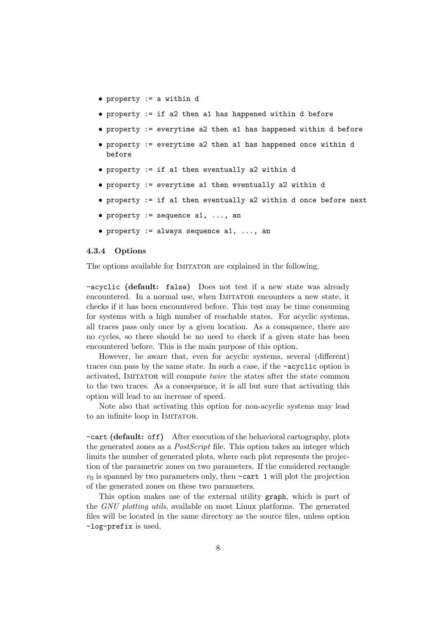- property := a within d
- property := if a2 then a1 has happened within d before
- property := everytime a2 then a1 has happened within d before
- property := everytime a2 then a1 has happened once within d before
- property := if a1 then eventually a2 within d
- property := everytime a1 then eventually a2 within d
- property := if a1 then eventually a2 within d once before next
- property  $:=$  sequence a1, ..., an
- property  $:=$  always sequence a1, ..., an

#### <span id="page-7-0"></span>4.3.4 Options

The options available for IMITATOR are explained in the following.

-acyclic (default: false) Does not test if a new state was already encountered. In a normal use, when IMITATOR encounters a new state, it checks if it has been encountered before. This test may be time consuming for systems with a high number of reachable states. For acyclic systems, all traces pass only once by a given location. As a consquence, there are no cycles, so there should be no need to check if a given state has been encountered before. This is the main purpose of this option.

However, be aware that, even for acyclic systems, several (different) traces can pass by the same state. In such a case, if the -acyclic option is activated, IMITATOR will compute *twice* the states after the state common to the two traces. As a consequence, it is all but sure that activating this option will lead to an increase of speed.

Note also that activating this option for non-acyclic systems may lead to an infinite loop in IMITATOR.

-cart (default: off) After execution of the behavioral cartography, plots the generated zones as a PostScript file. This option takes an integer which limits the number of generated plots, where each plot represents the projection of the parametric zones on two parameters. If the considered rectangle  $v_0$  is spanned by two parameters only, then  $\textrm{-cart 1}$  will plot the projection of the generated zones on these two parameters.

This option makes use of the external utility graph, which is part of the GNU plotting utils, available on most Linux platforms. The generated files will be located in the same directory as the source files, unless option -log-prefix is used.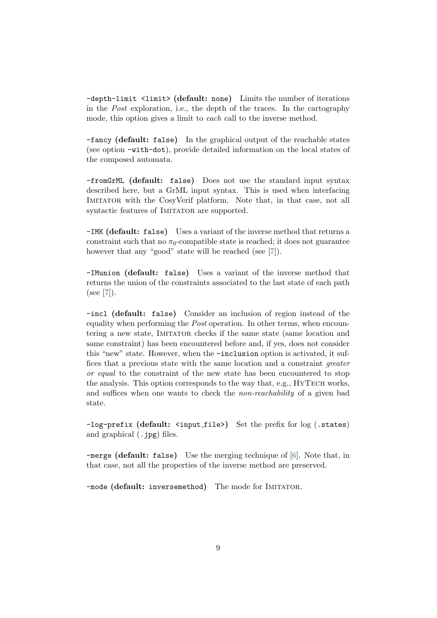<span id="page-8-0"></span>-depth-limit <limit> (default: none) Limits the number of iterations in the Post exploration, i.e., the depth of the traces. In the cartography mode, this option gives a limit to each call to the inverse method.

-fancy (default: false) In the graphical output of the reachable states (see option -with-dot), provide detailed information on the local states of the composed automata.

-fromGrML (default: false) Does not use the standard input syntax described here, but a GrML input syntax. This is used when interfacing IMITATOR with the CosyVerif platform. Note that, in that case, not all syntactic features of IMITATOR are supported.

-IMK (default: false) Uses a variant of the inverse method that returns a constraint such that no  $\pi_0$ -compatible state is reached; it does not guarantee however that any "good" state will be reached (see [\[7\]](#page-18-3)).

-IMunion (default: false) Uses a variant of the inverse method that returns the union of the constraints associated to the last state of each path (see [\[7\]](#page-18-3)).

-incl (default: false) Consider an inclusion of region instead of the equality when performing the Post operation. In other terms, when encountering a new state, IMITATOR checks if the same state (same location and same constraint) has been encountered before and, if yes, does not consider this "new" state. However, when the -inclusion option is activated, it suffices that a previous state with the same location and a constraint greater or equal to the constraint of the new state has been encountered to stop the analysis. This option corresponds to the way that, e.g., HYTECH works, and suffices when one wants to check the non-reachability of a given bad state.

-log-prefix (default: <input\_file>) Set the prefix for log (.states) and graphical (.jpg) files.

-merge (default: false) Use the merging technique of [\[6\]](#page-18-5). Note that, in that case, not all the properties of the inverse method are preserved.

-mode (default: inversemethod) The mode for IMITATOR.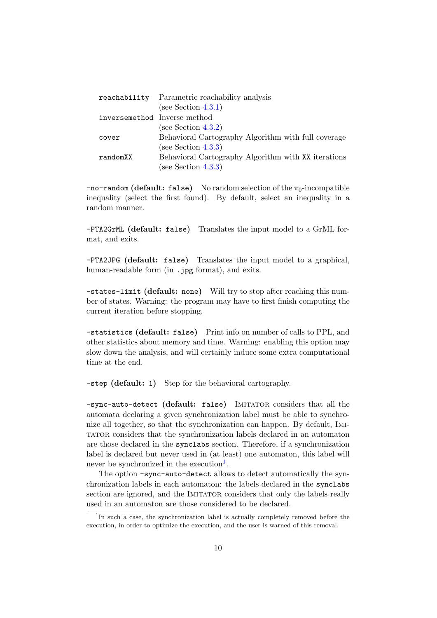|                              | reachability Parametric reachability analysis       |
|------------------------------|-----------------------------------------------------|
|                              | (see Section $4.3.1$ )                              |
| inversemethod Inverse method |                                                     |
|                              | (see Section $4.3.2$ )                              |
| cover                        | Behavioral Cartography Algorithm with full coverage |
|                              | (see Section $4.3.3$ )                              |
| randomXX                     | Behavioral Cartography Algorithm with XX iterations |
|                              | (see Section $4.3.3$ )                              |

 $-$ no-random (default: false) No random selection of the  $\pi_0$ -incompatible inequality (select the first found). By default, select an inequality in a random manner.

-PTA2GrML (default: false) Translates the input model to a GrML format, and exits.

-PTA2JPG (default: false) Translates the input model to a graphical, human-readable form (in .  $ipg$  format), and exits.

-states-limit (default: none) Will try to stop after reaching this number of states. Warning: the program may have to first finish computing the current iteration before stopping.

-statistics (default: false) Print info on number of calls to PPL, and other statistics about memory and time. Warning: enabling this option may slow down the analysis, and will certainly induce some extra computational time at the end.

-step (default: 1) Step for the behavioral cartography.

-sync-auto-detect (default: false) IMITATOR considers that all the automata declaring a given synchronization label must be able to synchronize all together, so that the synchronization can happen. By default, Imitator considers that the synchronization labels declared in an automaton are those declared in the synclabs section. Therefore, if a synchronization label is declared but never used in (at least) one automaton, this label will never be synchronized in the execution<sup>[1](#page-9-0)</sup>.

The option -sync-auto-detect allows to detect automatically the synchronization labels in each automaton: the labels declared in the synclabs section are ignored, and the IMITATOR considers that only the labels really used in an automaton are those considered to be declared.

<span id="page-9-0"></span><sup>&</sup>lt;sup>1</sup>In such a case, the synchronization label is actually completely removed before the execution, in order to optimize the execution, and the user is warned of this removal.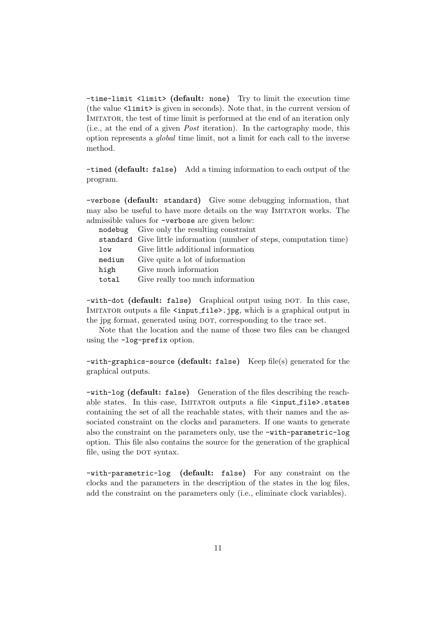-time-limit <limit> (default: none) Try to limit the execution time (the value  $\langle$ limit> is given in seconds). Note that, in the current version of IMITATOR, the test of time limit is performed at the end of an iteration only (i.e., at the end of a given Post iteration). In the cartography mode, this option represents a global time limit, not a limit for each call to the inverse method.

-timed (default: false) Add a timing information to each output of the program.

-verbose (default: standard) Give some debugging information, that may also be useful to have more details on the way IMITATOR works. The admissible values for -verbose are given below:

|        | nodebug Give only the resulting constraint                           |
|--------|----------------------------------------------------------------------|
|        | standard Give little information (number of steps, computation time) |
| low    | Give little additional information                                   |
| medium | Give quite a lot of information                                      |
| high   | Give much information                                                |
| total  | Give really too much information                                     |

-with-dot (default: false) Graphical output using DOT. In this case, IMITATOR outputs a file <input\_file>.jpg, which is a graphical output in the jpg format, generated using DOT, corresponding to the trace set.

Note that the location and the name of those two files can be changed using the -log-prefix option.

-with-graphics-source (default: false) Keep file(s) generated for the graphical outputs.

-with-log (default: false) Generation of the files describing the reachable states. In this case, IMITATOR outputs a file <input\_file>.states containing the set of all the reachable states, with their names and the associated constraint on the clocks and parameters. If one wants to generate also the constraint on the parameters only, use the -with-parametric-log option. This file also contains the source for the generation of the graphical file, using the DOT syntax.

-with-parametric-log (default: false) For any constraint on the clocks and the parameters in the description of the states in the log files, add the constraint on the parameters only (i.e., eliminate clock variables).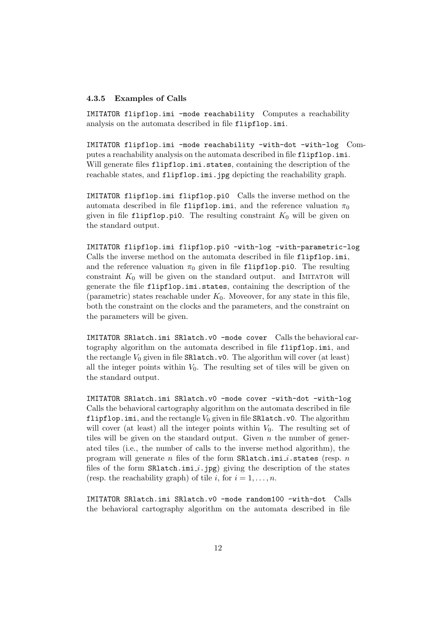#### <span id="page-11-0"></span>4.3.5 Examples of Calls

IMITATOR flipflop.imi -mode reachability Computes a reachability analysis on the automata described in file flipflop.imi.

IMITATOR flipflop.imi -mode reachability -with-dot -with-log Computes a reachability analysis on the automata described in file flipflop.imi. Will generate files flipflop.imi.states, containing the description of the reachable states, and flipflop.imi.jpg depicting the reachability graph.

IMITATOR flipflop.imi flipflop.pi0 Calls the inverse method on the automata described in file flipflop.imi, and the reference valuation  $\pi_0$ given in file flipflop.pi0. The resulting constraint  $K_0$  will be given on the standard output.

IMITATOR flipflop.imi flipflop.pi0 -with-log -with-parametric-log Calls the inverse method on the automata described in file flipflop.imi, and the reference valuation  $\pi_0$  given in file flipflop.pi0. The resulting constraint  $K_0$  will be given on the standard output. and IMITATOR will generate the file flipflop.imi.states, containing the description of the (parametric) states reachable under  $K_0$ . Moveover, for any state in this file, both the constraint on the clocks and the parameters, and the constraint on the parameters will be given.

IMITATOR SRlatch.imi SRlatch.v0 -mode cover Calls the behavioral cartography algorithm on the automata described in file flipflop.imi, and the rectangle  $V_0$  given in file **SRlatch.v0.** The algorithm will cover (at least) all the integer points within  $V_0$ . The resulting set of tiles will be given on the standard output.

IMITATOR SRlatch.imi SRlatch.v0 -mode cover -with-dot -with-log Calls the behavioral cartography algorithm on the automata described in file flipflop.imi, and the rectangle  $V_0$  given in file SRlatch.v0. The algorithm will cover (at least) all the integer points within  $V_0$ . The resulting set of tiles will be given on the standard output. Given  $n$  the number of generated tiles (i.e., the number of calls to the inverse method algorithm), the program will generate n files of the form  $SRlatch.min.i.states$  (resp. n files of the form  $\texttt{SRLatch.ini}_i$ .jpg) giving the description of the states (resp. the reachability graph) of tile i, for  $i = 1, \ldots, n$ .

IMITATOR SRlatch.imi SRlatch.v0 -mode random100 -with-dot Calls the behavioral cartography algorithm on the automata described in file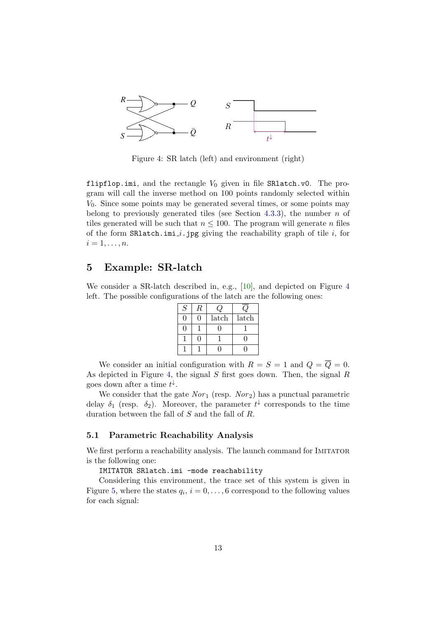<span id="page-12-3"></span>

<span id="page-12-2"></span>Figure 4: SR latch (left) and environment (right)

flipflop.imi, and the rectangle  $V_0$  given in file SRlatch.v0. The program will call the inverse method on 100 points randomly selected within  $V_0$ . Since some points may be generated several times, or some points may belong to previously generated tiles (see Section [4.3.3\)](#page-6-0), the number  $n$  of tiles generated will be such that  $n \leq 100$ . The program will generate n files of the form  $\texttt{SRIatch.ini}_i$ .jpg giving the reachability graph of tile i, for  $i=1,\ldots,n.$ 

# <span id="page-12-0"></span>5 Example: SR-latch

We consider a SR-latch described in, e.g., [\[10\]](#page-19-3), and depicted on Figure [4](#page-12-2) left. The possible configurations of the latch are the following ones:

| S | R |       |       |
|---|---|-------|-------|
|   |   | latch | latch |
|   |   |       |       |
|   |   |       |       |
|   |   |       |       |

We consider an initial configuration with  $R = S = 1$  and  $Q = \overline{Q} = 0$ . As depicted in Figure [4,](#page-12-2) the signal S first goes down. Then, the signal R goes down after a time  $t^{\downarrow}$ .

We consider that the gate  $Nor_1$  (resp.  $Nor_2$ ) has a punctual parametric delay  $\delta_1$  (resp.  $\delta_2$ ). Moreover, the parameter  $t^{\downarrow}$  corresponds to the time duration between the fall of  $S$  and the fall of  $R$ .

### <span id="page-12-1"></span>5.1 Parametric Reachability Analysis

We first perform a reachability analysis. The launch command for IMITATOR is the following one:

#### IMITATOR SRlatch.imi -mode reachability

Considering this environment, the trace set of this system is given in Figure [5,](#page-13-1) where the states  $q_i$ ,  $i = 0, \ldots, 6$  correspond to the following values for each signal: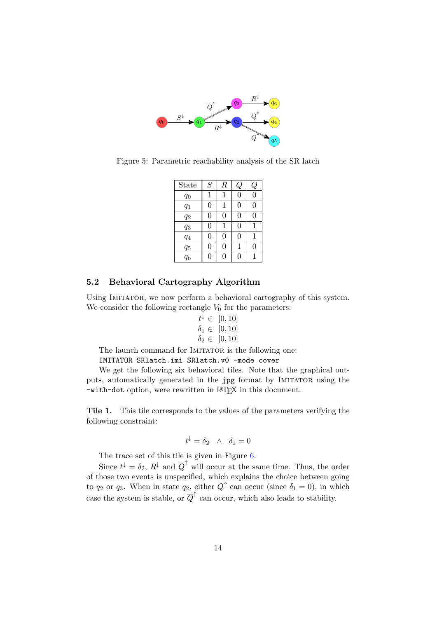

Figure 5: Parametric reachability analysis of the SR latch

<span id="page-13-1"></span>

| State | S | $\boldsymbol{R}$ | Q              |              |
|-------|---|------------------|----------------|--------------|
| $q_0$ | 1 | 1                | $\overline{0}$ | $\Omega$     |
| $q_1$ | 0 | 1                | 0              | 0            |
| $q_2$ | 0 | 0                | 0              | $\Omega$     |
| $q_3$ | 0 | 1                | 0              | 1            |
| $q_4$ | 0 | 0                | $\Omega$       | $\mathbf{1}$ |
| $q_5$ | 0 | 0                | 1              | 0            |
| $q_6$ | O | O                | 0              |              |

### <span id="page-13-0"></span>5.2 Behavioral Cartography Algorithm

Using IMITATOR, we now perform a behavioral cartography of this system. We consider the following rectangle  $V_0$  for the parameters:

$$
t^{\downarrow} \in [0, 10] \n\delta_1 \in [0, 10] \n\delta_2 \in [0, 10]
$$

The launch command for IMITATOR is the following one:

IMITATOR SRlatch.imi SRlatch.v0 -mode cover

We get the following six behavioral tiles. Note that the graphical outputs, automatically generated in the jpg format by IMITATOR using the -with-dot option, were rewritten in LAT<sub>E</sub>X in this document.

Tile 1. This tile corresponds to the values of the parameters verifying the following constraint:

$$
t^{\downarrow} = \delta_2 \quad \wedge \quad \delta_1 = 0
$$

The trace set of this tile is given in Figure [6.](#page-14-0)

Since  $t^{\downarrow} = \delta_2$ ,  $R^{\downarrow}$  and  $\overline{Q}^{\uparrow}$  will occur at the same time. Thus, the order of those two events is unspecified, which explains the choice between going to  $q_2$  or  $q_3$ . When in state  $q_2$ , either  $Q^{\uparrow}$  can occur (since  $\delta_1 = 0$ ), in which case the system is stable, or  $\overline{Q}^{\uparrow}$  can occur, which also leads to stability.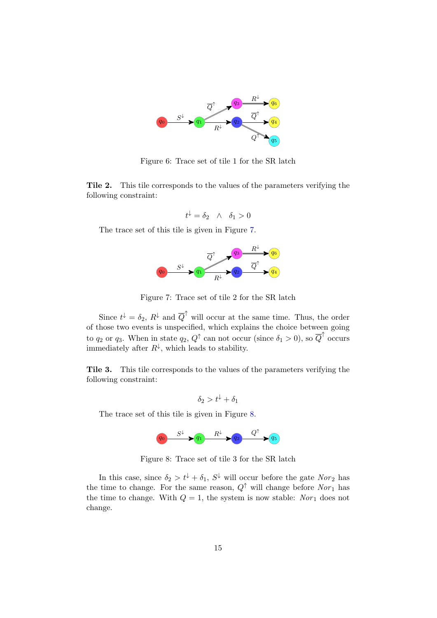

<span id="page-14-0"></span>Figure 6: Trace set of tile 1 for the SR latch

Tile 2. This tile corresponds to the values of the parameters verifying the following constraint:

$$
t^{\downarrow} = \delta_2 \quad \wedge \quad \delta_1 > 0
$$

The trace set of this tile is given in Figure [7.](#page-14-1)



<span id="page-14-1"></span>Figure 7: Trace set of tile 2 for the SR latch

Since  $t^{\downarrow} = \delta_2$ ,  $R^{\downarrow}$  and  $\overline{Q}^{\uparrow}$  will occur at the same time. Thus, the order of those two events is unspecified, which explains the choice between going to  $q_2$  or  $q_3$ . When in state  $q_2, Q^{\uparrow}$  can not occur (since  $\delta_1 > 0$ ), so  $\overline{Q}^{\uparrow}$  occurs immediately after  $R^{\downarrow}$ , which leads to stability.

Tile 3. This tile corresponds to the values of the parameters verifying the following constraint:

$$
\delta_2 > t^{\downarrow} + \delta_1
$$

The trace set of this tile is given in Figure [8.](#page-14-2)

<span id="page-14-2"></span>

Figure 8: Trace set of tile 3 for the SR latch

In this case, since  $\delta_2 > t^{\downarrow} + \delta_1$ ,  $S^{\downarrow}$  will occur before the gate  $Nor_2$  has the time to change. For the same reason,  $Q^{\uparrow}$  will change before  $Nor_{1}$  has the time to change. With  $Q = 1$ , the system is now stable: Nor<sub>1</sub> does not change.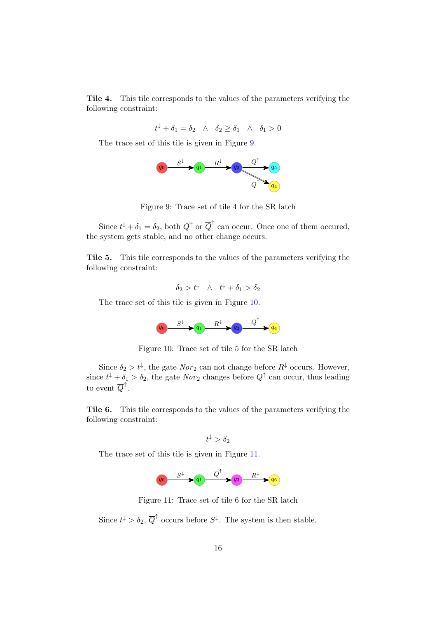Tile 4. This tile corresponds to the values of the parameters verifying the following constraint:

 $t^{\downarrow} + \delta_1 = \delta_2 \quad \wedge \quad \delta_2 \ge \delta_1 \quad \wedge \quad \delta_1 > 0$ 

The trace set of this tile is given in Figure [9.](#page-15-0)



<span id="page-15-0"></span>Figure 9: Trace set of tile 4 for the SR latch

Since  $t^{\downarrow} + \delta_1 = \delta_2$ , both  $Q^{\uparrow}$  or  $\overline{Q}^{\uparrow}$  can occur. Once one of them occured, the system gets stable, and no other change occurs.

Tile 5. This tile corresponds to the values of the parameters verifying the following constraint:

 $\delta_2 > t^{\downarrow} \quad \wedge \quad t^{\downarrow} + \delta_1 > \delta_2$ 

The trace set of this tile is given in Figure [10.](#page-15-1)

<span id="page-15-1"></span>

Figure 10: Trace set of tile 5 for the SR latch

Since  $\delta_2 > t^{\downarrow}$ , the gate  $Nor_2$  can not change before  $R^{\downarrow}$  occurs. However, since  $t^{\downarrow} + \delta_1 > \delta_2$ , the gate  $Nor_2$  changes before  $Q^{\uparrow}$  can occur, thus leading to event  $\overline{Q}^{\uparrow}$ .

Tile 6. This tile corresponds to the values of the parameters verifying the following constraint:

$$
t^\downarrow > \delta_2
$$

The trace set of this tile is given in Figure [11.](#page-15-2)

<span id="page-15-2"></span>

Figure 11: Trace set of tile 6 for the SR latch

Since  $t^{\downarrow} > \delta_2$ ,  $\overline{Q}^{\uparrow}$  occurs before  $S^{\downarrow}$ . The system is then stable.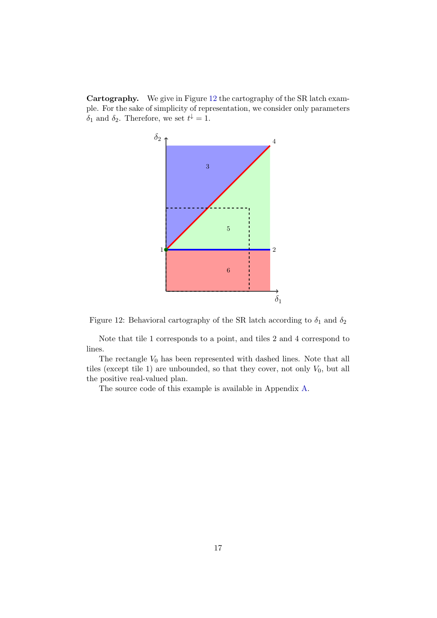Cartography. We give in Figure [12](#page-16-0) the cartography of the SR latch example. For the sake of simplicity of representation, we consider only parameters  $\delta_1$  and  $\delta_2$ . Therefore, we set  $t^{\downarrow} = 1$ .



<span id="page-16-0"></span>

Note that tile 1 corresponds to a point, and tiles 2 and 4 correspond to lines.

The rectangle  $V_0$  has been represented with dashed lines. Note that all tiles (except tile 1) are unbounded, so that they cover, not only  $V_0$ , but all the positive real-valued plan.

The source code of this example is available in Appendix [A.](#page-20-0)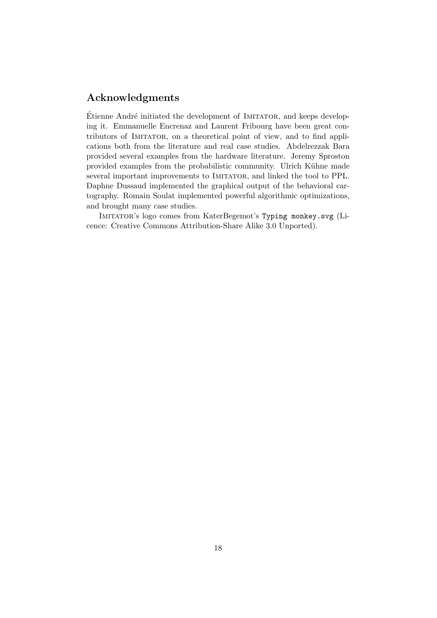# <span id="page-17-0"></span>Acknowledgments

Étienne André initiated the development of IMITATOR, and keeps developing it. Emmanuelle Encrenaz and Laurent Fribourg have been great contributors of Imitator, on a theoretical point of view, and to find applications both from the literature and real case studies. Abdelrezzak Bara provided several examples from the hardware literature. Jeremy Sproston provided examples from the probabilistic community. Ulrich Kühne made several important improvements to IMITATOR, and linked the tool to PPL. Daphne Dussaud implemented the graphical output of the behavioral cartography. Romain Soulat implemented powerful algorithmic optimizations, and brought many case studies.

Imitator's logo comes from KaterBegemot's Typing monkey.svg (Licence: Creative Commons Attribution-Share Alike 3.0 Unported).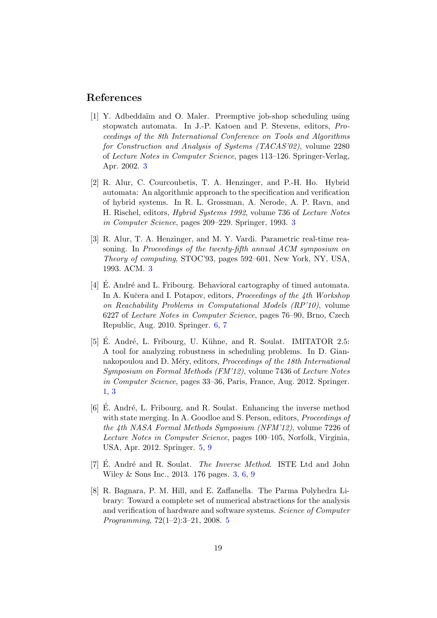# References

- <span id="page-18-2"></span>[1] Y. Adbeddaïm and O. Maler. Preemptive job-shop scheduling using stopwatch automata. In J.-P. Katoen and P. Stevens, editors, Proceedings of the 8th International Conference on Tools and Algorithms for Construction and Analysis of Systems (TACAS'02), volume 2280 of Lecture Notes in Computer Science, pages 113–126. Springer-Verlag, Apr. 2002. [3](#page-2-4)
- <span id="page-18-4"></span>[2] R. Alur, C. Courcoubetis, T. A. Henzinger, and P.-H. Ho. Hybrid automata: An algorithmic approach to the specification and verification of hybrid systems. In R. L. Grossman, A. Nerode, A. P. Ravn, and H. Rischel, editors, Hybrid Systems 1992, volume 736 of Lecture Notes in Computer Science, pages 209–229. Springer, 1993. [3](#page-2-4)
- <span id="page-18-1"></span>[3] R. Alur, T. A. Henzinger, and M. Y. Vardi. Parametric real-time reasoning. In Proceedings of the twenty-fifth annual ACM symposium on Theory of computing, STOC'93, pages 592–601, New York, NY, USA, 1993. ACM. [3](#page-2-4)
- <span id="page-18-7"></span>[4] E. André and L. Fribourg. Behavioral cartography of timed automata. In A. Kučera and I. Potapov, editors, Proceedings of the 4th Workshop on Reachability Problems in Computational Models (RP'10), volume 6227 of Lecture Notes in Computer Science, pages 76–90, Brno, Czech Republic, Aug. 2010. Springer. [6,](#page-5-5) [7](#page-6-1)
- <span id="page-18-0"></span>[5] E. André, L. Fribourg, U. Kühne, and R. Soulat. IMITATOR 2.5: A tool for analyzing robustness in scheduling problems. In D. Giannakopoulou and D. Méry, editors, *Proceedings of the 18th International* Symposium on Formal Methods (FM'12), volume 7436 of Lecture Notes in Computer Science, pages 33–36, Paris, France, Aug. 2012. Springer. [1,](#page-0-0) [3](#page-2-4)
- <span id="page-18-5"></span>[6] E. André, L. Fribourg, and R. Soulat. Enhancing the inverse method with state merging. In A. Goodloe and S. Person, editors, *Proceedings of* the 4th NASA Formal Methods Symposium (NFM'12), volume 7226 of Lecture Notes in Computer Science, pages 100–105, Norfolk, Virginia, USA, Apr. 2012. Springer. [5,](#page-4-4) [9](#page-8-0)
- <span id="page-18-3"></span>[7] E. André and R. Soulat. *The Inverse Method.* ISTE Ltd and John Wiley & Sons Inc., 2013. 176 pages. [3,](#page-2-4) [6,](#page-5-5) [9](#page-8-0)
- <span id="page-18-6"></span>[8] R. Bagnara, P. M. Hill, and E. Zaffanella. The Parma Polyhedra Library: Toward a complete set of numerical abstractions for the analysis and verification of hardware and software systems. Science of Computer Programming, 72(1–2):3–21, 2008. [5](#page-4-4)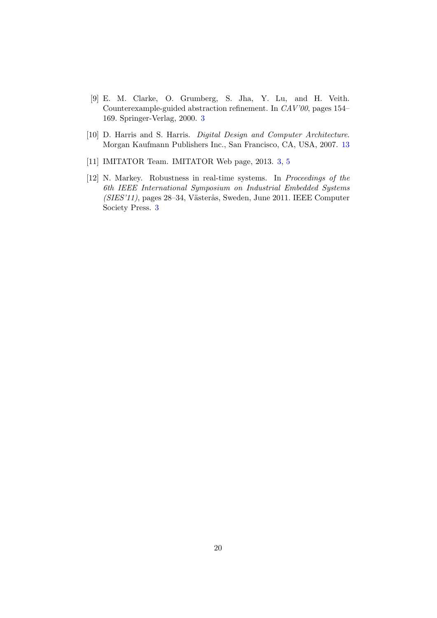- <span id="page-19-0"></span>[9] E. M. Clarke, O. Grumberg, S. Jha, Y. Lu, and H. Veith. Counterexample-guided abstraction refinement. In CAV'00, pages 154– 169. Springer-Verlag, 2000. [3](#page-2-4)
- <span id="page-19-3"></span>[10] D. Harris and S. Harris. *Digital Design and Computer Architecture*. Morgan Kaufmann Publishers Inc., San Francisco, CA, USA, 2007. [13](#page-12-3)
- <span id="page-19-2"></span>[11] IMITATOR Team. IMITATOR Web page, 2013. [3,](#page-2-4) [5](#page-4-4)
- <span id="page-19-1"></span>[12] N. Markey. Robustness in real-time systems. In Proceedings of the 6th IEEE International Symposium on Industrial Embedded Systems (SIES'11), pages 28–34, Västerås, Sweden, June 2011. IEEE Computer Society Press. [3](#page-2-4)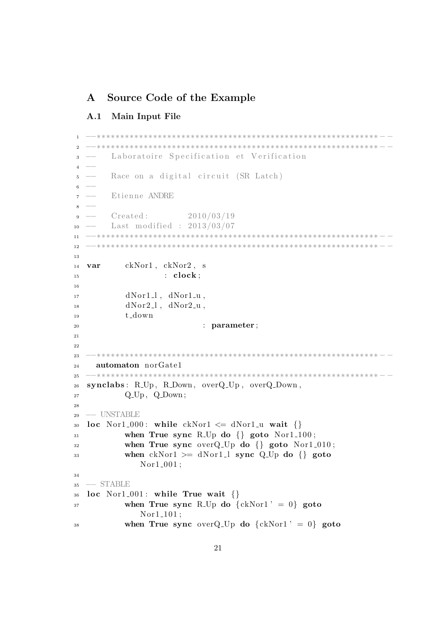# <span id="page-20-0"></span>A Source Code of the Example

## <span id="page-20-1"></span>A.1 Main Input File

```
1 −−∗∗∗∗∗∗∗∗∗∗∗∗∗∗∗∗∗∗∗∗∗∗∗∗∗∗∗∗∗∗∗∗∗∗∗∗∗∗∗∗∗∗∗∗∗∗∗∗∗∗∗∗∗∗∗∗∗∗∗∗ − −
2 −−∗∗∗∗∗∗∗∗∗∗∗∗∗∗∗∗∗∗∗∗∗∗∗∗∗∗∗∗∗∗∗∗∗∗∗∗∗∗∗∗∗∗∗∗∗∗∗∗∗∗∗∗∗∗∗∗∗∗∗∗ − −
        Laboratoire Specification et Verification
4 -5 −− Race on a digital circuit (SR Latch)
6 -7 −− E tienne ANDRE
8 −−
9 \text{ -- } \text{Create: } 2010/03/1910 − Last modified : 2013/03/07
11 −−∗∗∗∗∗∗∗∗∗∗∗∗∗∗∗∗∗∗∗∗∗∗∗∗∗∗∗∗∗∗∗∗∗∗∗∗∗∗∗∗∗∗∗∗∗∗∗∗∗∗∗∗∗∗∗∗∗∗∗∗ − −
12 −−∗∗∗∗∗∗∗∗∗∗∗∗∗∗∗∗∗∗∗∗∗∗∗∗∗∗∗∗∗∗∗∗∗∗∗∗∗∗∗∗∗∗∗∗∗∗∗∗∗∗∗∗∗∗∗∗∗∗∗∗ − −
13
14 var ckNor1 , ckNor2 , s
15 : clock;16
dNor1_l, dNor1_u,
dNor2_l, dNor2_u,
19 t down
<sup>20</sup> : parameter ;
21
22
23 −−∗∗∗∗∗∗∗∗∗∗∗∗∗∗∗∗∗∗∗∗∗∗∗∗∗∗∗∗∗∗∗∗∗∗∗∗∗∗∗∗∗∗∗∗∗∗∗∗∗∗∗∗∗∗∗∗∗∗∗∗ − −
24 automaton norGate1
25 −−∗∗∗∗∗∗∗∗∗∗∗∗∗∗∗∗∗∗∗∗∗∗∗∗∗∗∗∗∗∗∗∗∗∗∗∗∗∗∗∗∗∗∗∗∗∗∗∗∗∗∗∗∗∗∗∗∗∗∗∗ − −
26 synclabs : R Up , R Down , overQ Up , overQ Down ,
27 \qquad \qquad Q\_Up, \quad Q\_Down;28
29 −− UNSTABLE
30 loc Nor1.000: while ckNor1 \leq dNor1 \leq u wait \{\}31 when True sync R<sub>-Up</sub> do {} goto Nor1<sub>-100</sub>;
32 when True sync overQ_Up do \{\} goto Nor1_010;
33 when ckNor1 \geq dNor1 \perp sync Q Up do \{\}\ goto
              Nor1_001;
34
35 −− STABLE
36 loc Nor1_001: while True wait \{\}\37 when True sync R<sub>-Up</sub> do \{ckNor1' = 0\} goto
              Nor1<sub>-101</sub>;
38 when True sync over Q_Up do \{ckNor1' = 0\} goto
```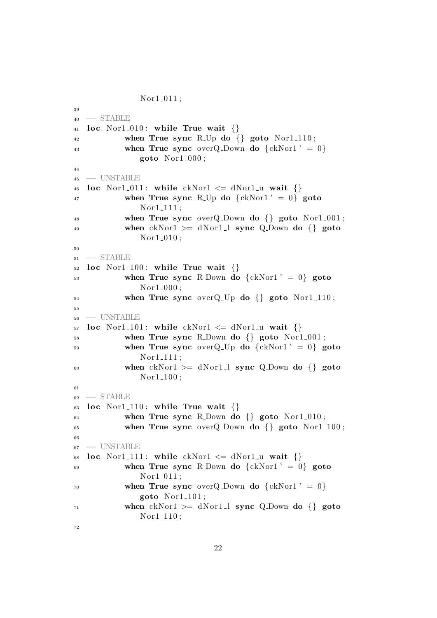```
Nor1_011;39
40 −− STABLE
41 loc Nor1_010: while True wait \{\}\42 when True sync R<sub>-Up</sub> do {} goto Nor1<sub>-110</sub>;
43 when True sync over Q. Down do \{ckNor1' = 0\}goto Nor1_000;
44
45 −− UNSTABLE
46 loc Nor1_011: while ckNor1 \leq dNor1 \leq u wait \{\}\47 when True sync R<sub>-Up</sub> do \{ckNor1' = 0\} goto
              Nor1<sub>-111</sub>;
48 when True sync over Q Down do \{\} goto Nor1 001;
49 when ckNor1 \geq dNor1 \perp sync Q_Down do {\} gotoNor1_010;
50
51 −− STABLE
52 loc Nor1.100: while True wait \{\}53 when True sync R_Down do \{ckNor1' = 0\} goto
              Nor1_000;
54 when True sync overQ Up do {} goto Nor1 110 ;
55
56 −− UNSTABLE
57 loc Nor1.101: while ckNor1 \le dNor1.u wait {}
58 when True sync R.Down do \{ goto Nor1.001;
59 when True sync over Q_Up do \{ckNor1' = 0\} goto
              Nor1<sub>-111</sub>;
60 when ckNor1 \geq dNor1 \perp sync \ Q_Down \ do \ goto
              Nor1<sub>-100</sub>;
61
62 −− STABLE
63 loc Nor1_110: while True wait \{\}64 when True sync R_Down do \{\} goto Nor1_010;
65 when True sync overQ-Down do \{ goto Nor1-100;
66
67 −− UNSTABLE
68 loc Nor1.111: while ckNor1 \leq dNor1 \leq u wait \{\}\69 when True sync R.Down do \{ckNor1' = 0\} goto
              Nor1_011;
70 when True sync over Q Down do \{ckNor1' = 0\}goto Nor1_1101;
\mu_{\text{min}} when ckNor1 \geq dNor1.1 sync Q.Down do {} goto
              Nor1<sub>-110</sub>;
72
```

```
22
```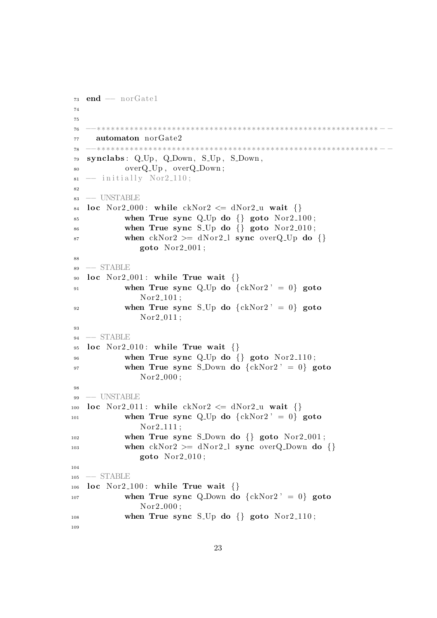```
73 end - norGate1
74
75
76 −−∗∗∗∗∗∗∗∗∗∗∗∗∗∗∗∗∗∗∗∗∗∗∗∗∗∗∗∗∗∗∗∗∗∗∗∗∗∗∗∗∗∗∗∗∗∗∗∗∗∗∗∗∗∗∗∗∗∗∗∗ − −
77 automaton norGate2
78 −−∗∗∗∗∗∗∗∗∗∗∗∗∗∗∗∗∗∗∗∗∗∗∗∗∗∗∗∗∗∗∗∗∗∗∗∗∗∗∗∗∗∗∗∗∗∗∗∗∗∗∗∗∗∗∗∗∗∗∗∗ − −
79 synclabs : Q Up , Q Down , S Up , S Down ,
80 overQ_Up, overQ_Down;
\text{sn} \rightarrow \text{initially Nor2-110};
8283 −− UNSTABLE
84 loc Nor2_000: while ckNor2 \leq dNor2_u wait \{\}85 when True sync Q Up do \{\}\ goto Nor2 100;
86 when True sync S<sub>-Up</sub> do \{ goto Nor2<sub>-010</sub>;
87 when ckNor2 \geq dNor2 \perp sync \nover Q\_Up \nover Q\_Up \nover Qgoto Nor2.001;
88
89 −− STABLE
90 loc Nor2_001: while True wait \{\}91 when True sync Q Up do \{ckNor2' = 0\} goto
               Nor2_101;92 when True sync S<sub>-Up</sub> do \{ckNor2' = 0\} goto
               Nor2_011;
93
94 – STABLE
95 loc Nor2_010: while True wait \{\}96 when True sync Q-Up do \{ goto Nor2-110;
97 when True sync S_Down do \{ckNor2' = 0\} goto
               Nor2_000;
98
99 −− UNSTABLE
100 loc Nor2_011: while ckNor2 \leq dNor2-u wait \{\}101 when True sync Q_Up do \{ckNor2' = 0\} goto
               Nor2_111;
102 when True sync S_Down do {} goto Nor2_001;
103 when ckNor2 \geq dNor2 \geq 1 sync overQ-Down do {}
               goto Nor2_010;
104
105 −− STABLE
106 loc Nor2_100: while True wait \{\}107 when True sync Q Down do \{ckNor2' = 0\} goto
               Nor2_000;
_{108} when True sync S<sub>-Up</sub> do \{\} goto Nor2<sub>-110</sub>;
109
```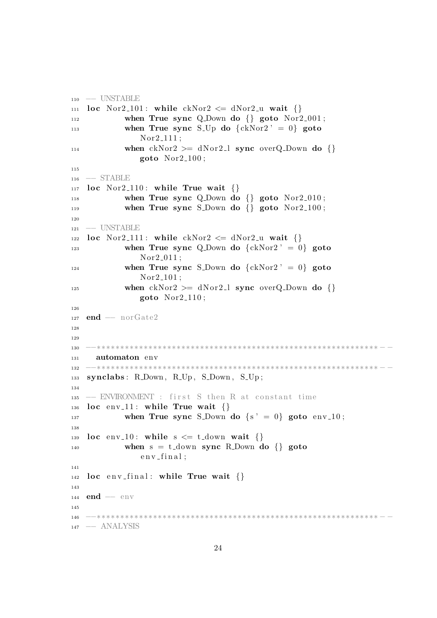```
110 −− UNSTABLE
111 loc Nor2_101: while ckNor2 \leq dNor2-u wait \{\}112 when True sync Q Down do \{\} goto Nor2 001;
113 when True sync S<sub>-Up</sub> do \{ckNor2' = 0\} goto
               Nor2<sub>-111;</sub>
114 when ckNor2 \geq dNor2 \perp sync overQ_Down do {}
               goto Nor2_1100;
115
116 −− STABLE
_{117} loc Nor2_110: while True wait \{\}\118 when True sync Q Down do {} goto Nor2 010;
119 when True sync S_Down do \{} goto Nor2_100;
120
121 -- UNSTABLE
122 loc Nor2_111: while ckNor2 \leq dNor2-u wait \{\}123 when True sync Q Down do \{ckNor2' = 0\} goto
               Nor2.011;
<sup>124</sup> when True sync S<sub>-Down</sub> do \{ckNor2' = 0\} goto
               Nor2_101 ;
125 when ckNor2 \geq dNor2 \perp sync \overline overQ_Down \overline do {\ }goto Nor2_1110;
126
127 end - norGate2
128
129
130 −−∗∗∗∗∗∗∗∗∗∗∗∗∗∗∗∗∗∗∗∗∗∗∗∗∗∗∗∗∗∗∗∗∗∗∗∗∗∗∗∗∗∗∗∗∗∗∗∗∗∗∗∗∗∗∗∗∗∗∗∗ − −
131 automaton env
132 −−∗∗∗∗∗∗∗∗∗∗∗∗∗∗∗∗∗∗∗∗∗∗∗∗∗∗∗∗∗∗∗∗∗∗∗∗∗∗∗∗∗∗∗∗∗∗∗∗∗∗∗∗∗∗∗∗∗∗∗∗ − −
133 synclabs: R_Down, R_Up, S_Down, S_Up;
134
_{135} -− ENVIRONMENT : first S then R at constant time
136 loc env_11: while True wait \{\}137 when True sync S_Down do \{s' = 0\} goto env_10;
138
139 loc env_10: while s \leq t_down wait {}
_{140} when s = t_down sync R_Down do {} goto
               env -f in al;
141
142 loc env_final: while True wait \{\}\143
_{144} end — env
145
146 −−∗∗∗∗∗∗∗∗∗∗∗∗∗∗∗∗∗∗∗∗∗∗∗∗∗∗∗∗∗∗∗∗∗∗∗∗∗∗∗∗∗∗∗∗∗∗∗∗∗∗∗∗∗∗∗∗∗∗∗∗ − −
147 −− ANALYSIS
```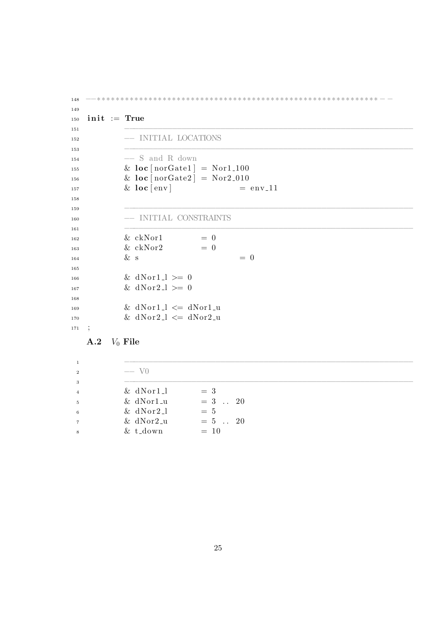```
148 −−∗∗∗∗∗∗∗∗∗∗∗∗∗∗∗∗∗∗∗∗∗∗∗∗∗∗∗∗∗∗∗∗∗∗∗∗∗∗∗∗∗∗∗∗∗∗∗∗∗∗∗∗∗∗∗∗∗∗∗∗ − −
149
_{150} init := True
151 −−−−−−−−−−−−−−−−−−−−−−−−−−−−−−−−−−−−−−−−−−−−−−−−−−−−−−−−−−−−
152 −− INITIAL LOCATIONS
153 −−−−−−−−−−−−−−−−−−−−−−−−−−−−−−−−−−−−−−−−−−−−−−−−−−−−−−−−−−−−
154 −− S and R down
<sup>155</sup> \& loc \lceil \text{norGate1} \rceil = \text{Nor1-100}<sup>156</sup> \& loc \lfloor n \text{orGate2} \rfloor = \text{Nor2}_0 10\& \text{loc} [\text{env}] = \text{env} \cdot 11158
159 −−−−−−−−−−−−−−−−−−−−−−−−−−−−−−−−−−−−−−−−−−−−−−−−−−−−−−−−−−−−
160 −− INITIAL CONSTRAINTS
161 −−−−−−−−−−−−−−−−−−−−−−−−−−−−−−−−−−−−−−−−−−−−−−−−−−−−−−−−−−−−
\& \cosh 1 = 0\& c kN \text{or} 2 = 0\& s \qquad \qquad = 0165
166 \& dNor1_l >= 0
167 \& dN or 2 \& = 0
168
\log & dNor1_l \leq dNor1_u
\text{170} \quad \& \text{dNor2} \perp \leq \text{dNor2} \perp u171 ;
```

```
A.2 V_0 File
```

| $\mathbf{1}$   |                |            |  |
|----------------|----------------|------------|--|
| $\,2\,$        | $-$ V $\alpha$ |            |  |
| 3              |                |            |  |
| $\overline{4}$ | $& dNor1_l$    | $=$ 3      |  |
| $\,$ 5         | $&$ dNor1_u    | $= 3$ . 20 |  |
| $\,6\,$        | $& dNor2-l$    | $= 5$      |  |
| $\overline{7}$ | $&$ dNor2_u    | $= 5$ . 20 |  |
| 8              | $& t_d$        | $= 10$     |  |
|                |                |            |  |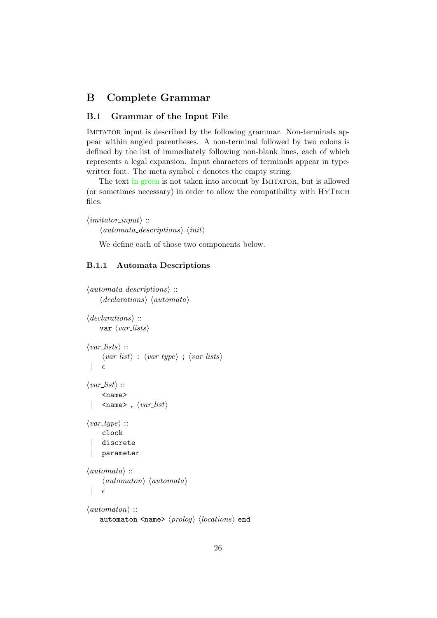# <span id="page-25-0"></span>B Complete Grammar

### <span id="page-25-1"></span>B.1 Grammar of the Input File

IMITATOR input is described by the following grammar. Non-terminals appear within angled parentheses. A non-terminal followed by two colons is defined by the list of immediately following non-blank lines, each of which represents a legal expansion. Input characters of terminals appear in typewritter font. The meta symbol  $\epsilon$  denotes the empty string.

The text in green is not taken into account by IMITATOR, but is allowed (or sometimes necessary) in order to allow the compatibility with HyTech files.

```
\langleimitator_input\rangle ::
       \langle automata\_descriptions \rangle \langle init \rangle
```
We define each of those two components below.

#### <span id="page-25-2"></span>B.1.1 Automata Descriptions

```
\langle automata\_descriptions \rangle ::\langle declarations \rangle \langle automata \rangle\langle declarations \rangle ::
      var \langle var\_lists \rangle\langle var\_lists \rangle ::\langle var\_list \rangle : \langle var\_type \rangle; \langle var\_lists \rangle\epsilon\langle var\_list \rangle ::<name>
        \langlename>, \langle var\_list \rangle\langle var\_type \rangle ::clock
       discrete
       | parameter
\langle automata \rangle ::
        \langleautomaton\rangle \langleautomata\rangle\epsilon\langleautomaton\rangle ::
      automaton <name> \langle prolog \rangle \langle locations \rangle end
```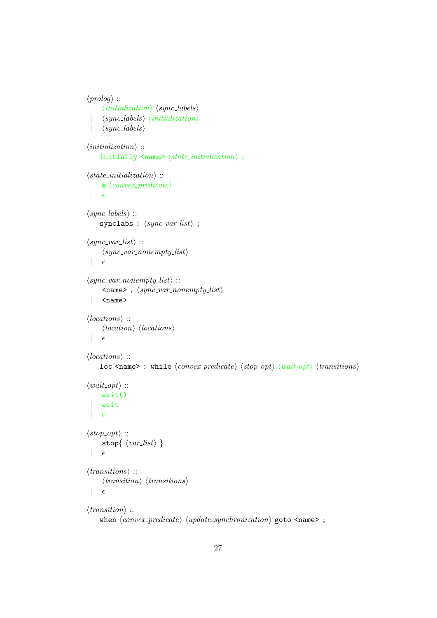```
\langle proboq \rangle ::
        \langle initialization \rangle \langle sync\text{-}labels \rangle\langle sync\text{-}labels \rangle \langle initialization \rangle\langle sync\_labels \rangle\langle initialization \rangle ::initially \langlename> \langle state\_initialization \rangle;
\langle state\_initialization \rangle ::\&\ \langle convex\_predicate \rangle\epsilon\langle sync\_{labels}\rangle ::synclabs : \langle sync\_var\_list \rangle ;
\langle sync\_var\_list \rangle ::\langle sync\_var\_nonempty\_list \rangle\epsilon\langle sync\_var\_nonempty\_list \rangle ::\langlename>, \langle sync\_var\_nonempty\_list \rangle| <name>
\langle locations \rangle ::\langle location \rangle \langle locations \rangle\epsilon\langle locations \rangle ::loc <name> : while \langle convex\_predicate \rangle \langle stop\_opt \rangle \langle wait\_opt \rangle \langle transitions \rangle\langle wait\_opt \rangle ::wait()
       wait
  |\epsilon|\langle stop\_opt \rangle ::stop{ \langle \mathit{var\_list} \rangle }\epsilon\langle transitions \rangle ::
        \langle transition \rangle \langle transitions \rangle\epsilon\langle transition \rangle ::
      when \langle convex\_predicate \rangle \langle update\_synchronization \rangle goto \langle name \rangle;
```

```
27
```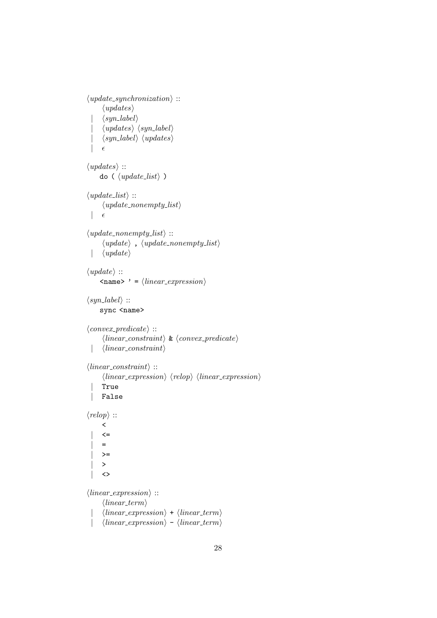```
\langle update\_synchronization \rangle ::\langle updates\rangle\langle syn\_label\rangle\langle up dates \rangle \langle syn\_label \rangle\langle syn\_label\rangle \langle updates\rangle\epsilon\langle updates \rangle ::
      do (\langle update\_list \rangle)
\langle update\_list \rangle ::\langle update\_nonempty\_list \rangle\epsilon\langle update\_nonempty\_list \rangle ::\langle update \rangle, \langle update\_nonempty\_list \rangle\langle update \rangle\langle update \rangle ::\langle name> ' = \langle linear_expression}
\langle syn\_label\rangle ::sync <name>
\langle convex\_predicate \rangle ::\langle linear\_constraint \rangle \& \langle convex\_predicate \rangle| \langle linear\_constraint \rangle\langle linear\_constraint \rangle ::\langle linear_{expression} \rangle \langle relop \rangle \langle linear_{expression} \rangle| True
       | False
\langle \text{relop} \rangle ::
        \overline{\left( \right)}\left\langle =\right\rangle=>=\geq\leftrightarrow\langle linear_{expression} \rangle ::\langle linear\_term \rangle\langle linear\_expression \rangle + \langle linear\_term \rangle\langle linear\_expression \rangle - \langle linear\_term \rangle
```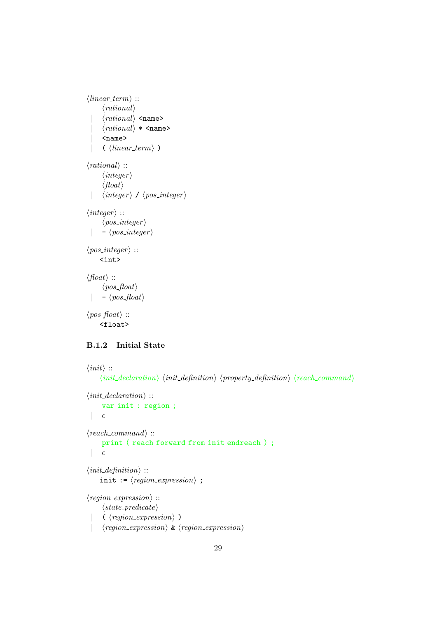```
\langle linear\_term \rangle ::\langle rational \rangle\langle rational \rangle <name>
         \langle rational \rangle * \langle name \rangle| <name>
         \langle \; \langle linear\_term \rangle \; \rangle\langle rational \rangle ::
         \langle integer \rangle\langle float \rangle| \langle integer \rangle / \langle pos\_integer \rangle\langle \text{integer} \rangle ::\langle pos\_integer \rangle| - \langle pos\_integer \rangle\langle pos\_integer \rangle ::<int>
\langle float \rangle ::\langle pos\_float \rangle- \langle pos_{\tau}float \rangle\langle pos\_float \rangle ::<float>
```
### <span id="page-28-0"></span>B.1.2 Initial State

```
\langle init \rangle ::\langle init\_declaration \rangle \langle init\_definition \rangle \langle property\_definition \rangle \langle reach\_command \rangle\langle init\_declaration \rangle ::var init : region ;
  |\epsilon\langle reach\_command \rangle ::print ( reach forward from init endreach ) ;
  |\epsilon\langle init\_\text{definition} \rangle ::init := \langle region\_expression \rangle ;
\langle region\_expression \rangle ::\langle state\_predicate \rangle\langle \langle region\_expression \rangle)
      \langle region\_expression \rangle \& \langle region\_expression \rangle
```